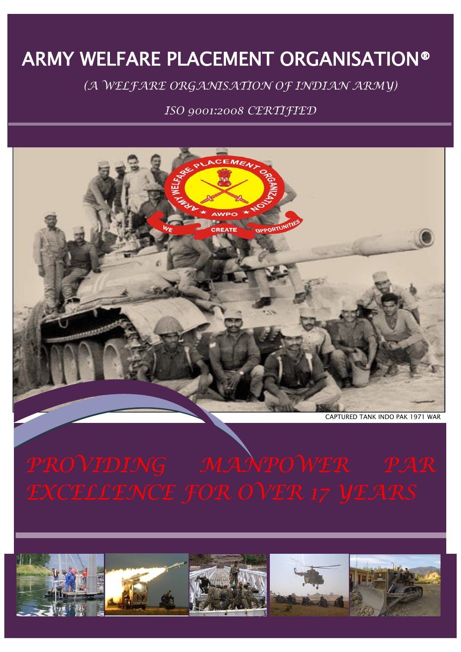# ARMY WELFARE PLACEMENT ORGANISATION®

*(A WELFARE ORGANISATION OF INDIAN ARMY)*

*ISO 9001:2008 CERTIFIED*



*PROVIDING MANPOWER PAR* 

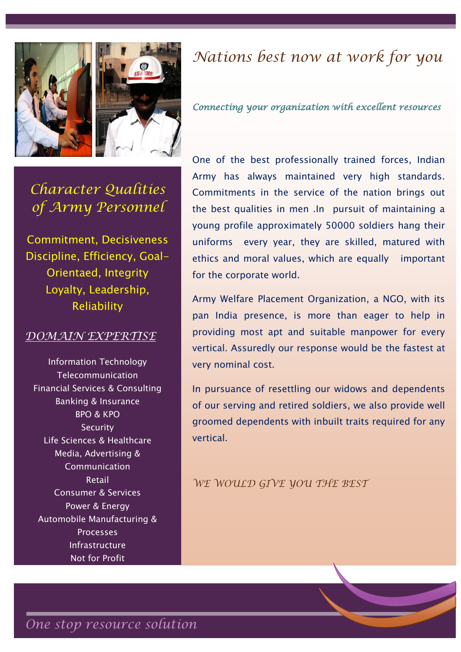

*Connecting your organization with excellent resources* 

*Character Qualities of Army Personnel*

Commitment, Decisiveness Discipline, Efficiency, Goal-Orientaed, Integrity Loyalty, Leadership, Reliability

### *DOMAIN EXPERTISE*

[Information Technology](http://www.globalhunt.in/information-technology.html) [Telecommunication](http://www.globalhunt.in/telecommunications.html) [Financial Services & Consulting](http://www.globalhunt.in/financial-services-consulting.html)  [Banking & Insurance](http://www.globalhunt.in/banking-insurance.html) [BPO & KPO](http://www.globalhunt.in/bpo-kpo.html) **Security** [Life Sciences & Healthcare](http://www.globalhunt.in/life-sciences-healthcare.html) [Media, Advertising &](http://www.globalhunt.in/media-advertising-communication.html)  [Communication](http://www.globalhunt.in/media-advertising-communication.html) [Retail](http://www.globalhunt.in/retailing.html) [Consumer & Services](http://www.globalhunt.in/consumer-services.html) [Power & Energy](http://www.globalhunt.in/power-energy.html) [Automobile](http://www.globalhunt.in/automobile.html) [Manufacturing &](http://www.globalhunt.in/manufacturing-processes.html)  [Processes](http://www.globalhunt.in/manufacturing-processes.html) [Infrastructure](http://www.globalhunt.in/infrastructure.html) [Not for Profit](http://www.globalhunt.in/not-for-profit.html)

One of the best professionally trained forces, Indian Army has always maintained very high standards. Commitments in the service of the nation brings out the best qualities in men .In pursuit of maintaining a young profile approximately 50000 soldiers hang their uniforms every year, they are skilled, matured with ethics and moral values, which are equally important for the corporate world.

Army Welfare Placement Organization, a NGO, with its pan India presence, is more than eager to help in providing most apt and suitable manpower for every vertical. Assuredly our response would be the fastest at very nominal cost.

In pursuance of resettling our widows and dependents of our serving and retired soldiers, we also provide well groomed dependents with inbuilt traits required for any vertical.

*WE WOULD GIVE YOU THE BEST*

*One stop resource solution*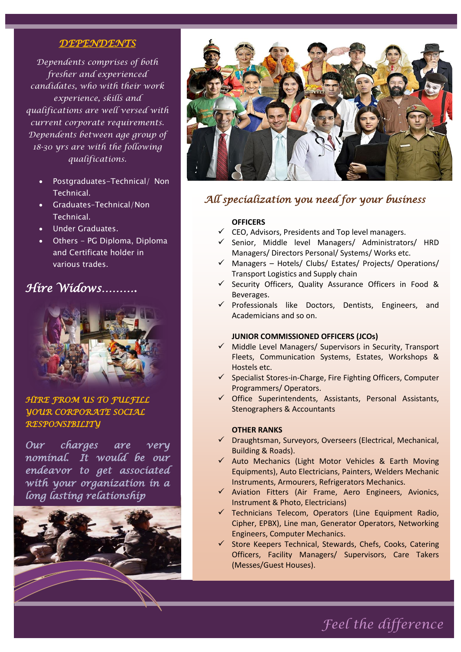#### *DEPENDENTS*

*Dependents comprises of both fresher and experienced candidates, who with their work experience, skills and qualifications are well versed with current corporate requirements. Dependents between age group of 18-30 yrs are with the following qualifications.*

- Postgraduates-Technical/ Non Technical.
- Graduates–Technical/Non Technical.
- Under Graduates.
- Others PG Diploma, Diploma and Certificate holder in various trades.

## *Hire Widows……….*



*HIRE FROM US TO FULFILL YOUR CORPORATE SOCIAL RESPONSIBILITY*

*Our charges are very nominal. It would be our endeavor to get associated with your organization in a long lasting relationship*





### *All specialization you need for your business*

#### **OFFICERS**

- $\checkmark$  CEO, Advisors, Presidents and Top level managers.
- $\checkmark$  Senior, Middle level Managers/ Administrators/ HRD Managers/ Directors Personal/ Systems/ Works etc.
- $\checkmark$  Managers Hotels/ Clubs/ Estates/ Projects/ Operations/ Transport Logistics and Supply chain
- $\checkmark$  Security Officers, Quality Assurance Officers in Food & Beverages.
- $\checkmark$  Professionals like Doctors, Dentists, Engineers, and Academicians and so on.

#### **JUNIOR COMMISSIONED OFFICERS (JCOs)**

- $\checkmark$  Middle Level Managers/ Supervisors in Security, Transport Fleets, Communication Systems, Estates, Workshops & Hostels etc.
- $\checkmark$  Specialist Stores-in-Charge, Fire Fighting Officers, Computer Programmers/ Operators.
- $\checkmark$  Office Superintendents, Assistants, Personal Assistants, Stenographers & Accountants

#### **OTHER RANKS**

- $\checkmark$  Draughtsman, Surveyors, Overseers (Electrical, Mechanical, Building & Roads).
- $\checkmark$  Auto Mechanics (Light Motor Vehicles & Earth Moving Equipments), Auto Electricians, Painters, Welders Mechanic Instruments, Armourers, Refrigerators Mechanics.
- $\checkmark$  Aviation Fitters (Air Frame, Aero Engineers, Avionics, Instrument & Photo, Electricians)
- $\checkmark$  Technicians Telecom, Operators (Line Equipment Radio, Cipher, EPBX), Line man, Generator Operators, Networking Engineers, Computer Mechanics.
- $\checkmark$  Store Keepers Technical, Stewards, Chefs, Cooks, Catering Officers, Facility Managers/ Supervisors, Care Takers (Messes/Guest Houses).

Security Supervisors, Security Guards and other

*Feel the difference*